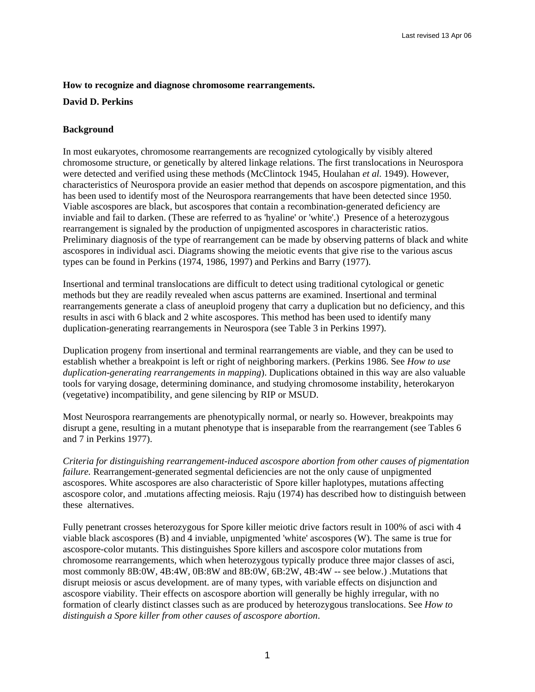## **How to recognize and diagnose chromosome rearrangements.**

## **David D. Perkins**

# **Background**

In most eukaryotes, chromosome rearrangements are recognized cytologically by visibly altered chromosome structure, or genetically by altered linkage relations. The first translocations in Neurospora were detected and verified using these methods (McClintock 1945, Houlahan *et al.* 1949). However, characteristics of Neurospora provide an easier method that depends on ascospore pigmentation, and this has been used to identify most of the Neurospora rearrangements that have been detected since 1950. Viable ascospores are black, but ascospores that contain a recombination-generated deficiency are inviable and fail to darken. (These are referred to as 'hyaline' or 'white'.) Presence of a heterozygous rearrangement is signaled by the production of unpigmented ascospores in characteristic ratios. Preliminary diagnosis of the type of rearrangement can be made by observing patterns of black and white ascospores in individual asci. Diagrams showing the meiotic events that give rise to the various ascus types can be found in Perkins (1974, 1986, 1997) and Perkins and Barry (1977).

Insertional and terminal translocations are difficult to detect using traditional cytological or genetic methods but they are readily revealed when ascus patterns are examined. Insertional and terminal rearrangements generate a class of aneuploid progeny that carry a duplication but no deficiency, and this results in asci with 6 black and 2 white ascospores. This method has been used to identify many duplication-generating rearrangements in Neurospora (see Table 3 in Perkins 1997).

Duplication progeny from insertional and terminal rearrangements are viable, and they can be used to establish whether a breakpoint is left or right of neighboring markers. (Perkins 1986. See *How to use duplication-generating rearrangements in mapping*). Duplications obtained in this way are also valuable tools for varying dosage, determining dominance, and studying chromosome instability, heterokaryon (vegetative) incompatibility, and gene silencing by RIP or MSUD.

Most Neurospora rearrangements are phenotypically normal, or nearly so. However, breakpoints may disrupt a gene, resulting in a mutant phenotype that is inseparable from the rearrangement (see Tables 6 and 7 in Perkins 1977).

*Criteria for distinguishing rearrangement-induced ascospore abortion from other causes of pigmentation failure.* Rearrangement-generated segmental deficiencies are not the only cause of unpigmented ascospores. White ascospores are also characteristic of Spore killer haplotypes, mutations affecting ascospore color, and .mutations affecting meiosis. Raju (1974) has described how to distinguish between these alternatives.

Fully penetrant crosses heterozygous for Spore killer meiotic drive factors result in 100% of asci with 4 viable black ascospores (B) and 4 inviable, unpigmented 'white' ascospores (W). The same is true for ascospore-color mutants. This distinguishes Spore killers and ascospore color mutations from chromosome rearrangements, which when heterozygous typically produce three major classes of asci, most commonly 8B:0W, 4B:4W, 0B:8W and 8B:0W, 6B:2W, 4B:4W -- see below.) .Mutations that disrupt meiosis or ascus development. are of many types, with variable effects on disjunction and ascospore viability. Their effects on ascospore abortion will generally be highly irregular, with no formation of clearly distinct classes such as are produced by heterozygous translocations. See *How to distinguish a Spore killer from other causes of ascospore abortion*.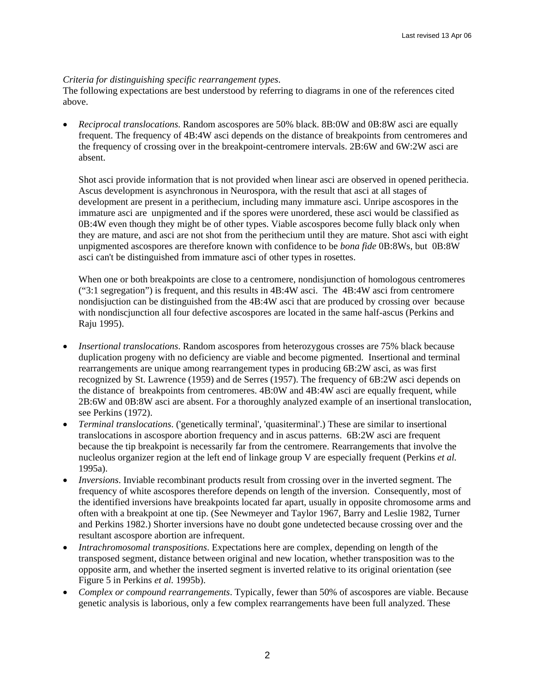# *Criteria for distinguishing specific rearrangement types*.

The following expectations are best understood by referring to diagrams in one of the references cited above.

• *Reciprocal translocations*. Random ascospores are 50% black. 8B:0W and 0B:8W asci are equally frequent. The frequency of 4B:4W asci depends on the distance of breakpoints from centromeres and the frequency of crossing over in the breakpoint-centromere intervals. 2B:6W and 6W:2W asci are absent.

Shot asci provide information that is not provided when linear asci are observed in opened perithecia. Ascus development is asynchronous in Neurospora, with the result that asci at all stages of development are present in a perithecium, including many immature asci. Unripe ascospores in the immature asci are unpigmented and if the spores were unordered, these asci would be classified as 0B:4W even though they might be of other types. Viable ascospores become fully black only when they are mature, and asci are not shot from the perithecium until they are mature. Shot asci with eight unpigmented ascospores are therefore known with confidence to be *bona fide* 0B:8Ws, but 0B:8W asci can't be distinguished from immature asci of other types in rosettes.

When one or both breakpoints are close to a centromere, nondisjunction of homologous centromeres ("3:1 segregation") is frequent, and this results in 4B:4W asci. The 4B:4W asci from centromere nondisjuction can be distinguished from the 4B:4W asci that are produced by crossing over because with nondiscjunction all four defective ascospores are located in the same half-ascus (Perkins and Raju 1995).

- *Insertional translocations*. Random ascospores from heterozygous crosses are 75% black because duplication progeny with no deficiency are viable and become pigmented. Insertional and terminal rearrangements are unique among rearrangement types in producing 6B:2W asci, as was first recognized by St. Lawrence (1959) and de Serres (1957). The frequency of 6B:2W asci depends on the distance of breakpoints from centromeres. 4B:0W and 4B:4W asci are equally frequent, while 2B:6W and 0B:8W asci are absent. For a thoroughly analyzed example of an insertional translocation, see Perkins (1972).
- *Terminal translocations*. ('genetically terminal', 'quasiterminal'.) These are similar to insertional translocations in ascospore abortion frequency and in ascus patterns. 6B:2W asci are frequent because the tip breakpoint is necessarily far from the centromere. Rearrangements that involve the nucleolus organizer region at the left end of linkage group V are especially frequent (Perkins *et al.* 1995a).
- *Inversions*. Inviable recombinant products result from crossing over in the inverted segment. The frequency of white ascospores therefore depends on length of the inversion. Consequently, most of the identified inversions have breakpoints located far apart, usually in opposite chromosome arms and often with a breakpoint at one tip. (See Newmeyer and Taylor 1967, Barry and Leslie 1982, Turner and Perkins 1982.) Shorter inversions have no doubt gone undetected because crossing over and the resultant ascospore abortion are infrequent.
- *Intrachromosomal transpositions*. Expectations here are complex, depending on length of the transposed segment, distance between original and new location, whether transposition was to the opposite arm, and whether the inserted segment is inverted relative to its original orientation (see Figure 5 in Perkins *et al.* 1995b).
- *Complex or compound rearrangements*. Typically, fewer than 50% of ascospores are viable. Because genetic analysis is laborious, only a few complex rearrangements have been full analyzed. These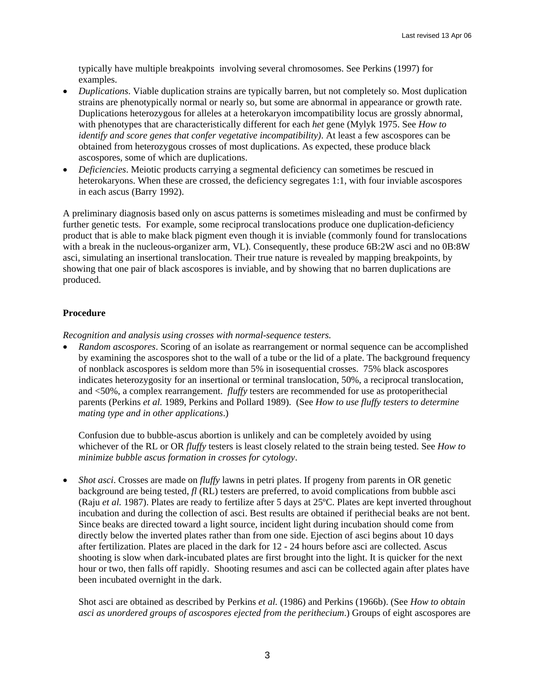typically have multiple breakpoints involving several chromosomes. See Perkins (1997) for examples.

- *Duplications*. Viable duplication strains are typically barren, but not completely so. Most duplication strains are phenotypically normal or nearly so, but some are abnormal in appearance or growth rate. Duplications heterozygous for alleles at a heterokaryon imcompatibility locus are grossly abnormal, with phenotypes that are characteristically different for each *het* gene (Mylyk 1975. See *How to identify and score genes that confer vegetative incompatibility)*. At least a few ascospores can be obtained from heterozygous crosses of most duplications. As expected, these produce black ascospores, some of which are duplications.
- *Deficiencies*. Meiotic products carrying a segmental deficiency can sometimes be rescued in heterokaryons. When these are crossed, the deficiency segregates 1:1, with four inviable ascospores in each ascus (Barry 1992).

A preliminary diagnosis based only on ascus patterns is sometimes misleading and must be confirmed by further genetic tests. For example, some reciprocal translocations produce one duplication-deficiency product that is able to make black pigment even though it is inviable (commonly found for translocations with a break in the nucleous-organizer arm, VL). Consequently, these produce 6B:2W asci and no 0B:8W asci, simulating an insertional translocation. Their true nature is revealed by mapping breakpoints, by showing that one pair of black ascospores is inviable, and by showing that no barren duplications are produced.

# **Procedure**

*Recognition and analysis using crosses with normal-sequence testers.* 

• *Random ascospores*. Scoring of an isolate as rearrangement or normal sequence can be accomplished by examining the ascospores shot to the wall of a tube or the lid of a plate. The background frequency of nonblack ascospores is seldom more than 5% in isosequential crosses. 75% black ascospores indicates heterozygosity for an insertional or terminal translocation, 50%, a reciprocal translocation, and <50%, a complex rearrangement. *fluffy* testers are recommended for use as protoperithecial parents (Perkins *et al.* 1989, Perkins and Pollard 1989). (See *How to use fluffy testers to determine mating type and in other applications*.)

Confusion due to bubble-ascus abortion is unlikely and can be completely avoided by using whichever of the RL or OR *fluffy* testers is least closely related to the strain being tested. See *How to minimize bubble ascus formation in crosses for cytology*.

• *Shot asci*. Crosses are made on *fluffy* lawns in petri plates. If progeny from parents in OR genetic background are being tested, *fl* (RL) testers are preferred, to avoid complications from bubble asci (Raju *et al.* 1987). Plates are ready to fertilize after 5 days at 25ºC. Plates are kept inverted throughout incubation and during the collection of asci. Best results are obtained if perithecial beaks are not bent. Since beaks are directed toward a light source, incident light during incubation should come from directly below the inverted plates rather than from one side. Ejection of asci begins about 10 days after fertilization. Plates are placed in the dark for 12 - 24 hours before asci are collected. Ascus shooting is slow when dark-incubated plates are first brought into the light. It is quicker for the next hour or two, then falls off rapidly. Shooting resumes and asci can be collected again after plates have been incubated overnight in the dark.

Shot asci are obtained as described by Perkins *et al.* (1986) and Perkins (1966b). (See *How to obtain asci as unordered groups of ascospores ejected from the perithecium*.) Groups of eight ascospores are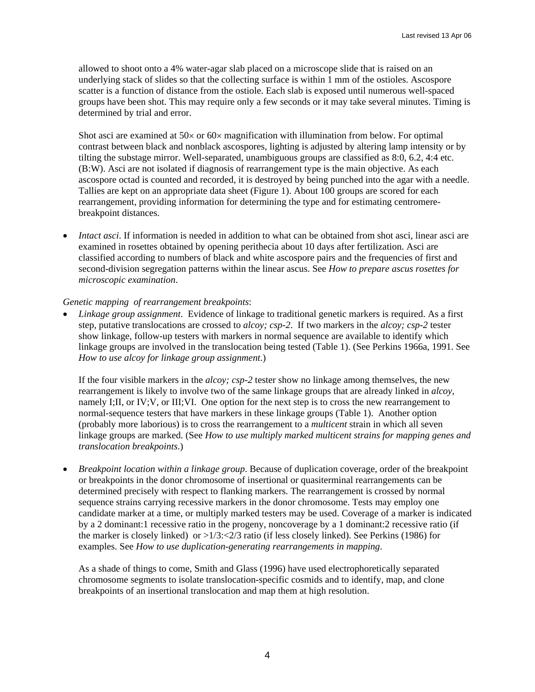allowed to shoot onto a 4% water-agar slab placed on a microscope slide that is raised on an underlying stack of slides so that the collecting surface is within 1 mm of the ostioles. Ascospore scatter is a function of distance from the ostiole. Each slab is exposed until numerous well-spaced groups have been shot. This may require only a few seconds or it may take several minutes. Timing is determined by trial and error.

Shot asci are examined at  $50\times$  or  $60\times$  magnification with illumination from below. For optimal contrast between black and nonblack ascospores, lighting is adjusted by altering lamp intensity or by tilting the substage mirror. Well-separated, unambiguous groups are classified as 8:0, 6.2, 4:4 etc. (B:W). Asci are not isolated if diagnosis of rearrangement type is the main objective. As each ascospore octad is counted and recorded, it is destroyed by being punched into the agar with a needle. Tallies are kept on an appropriate data sheet (Figure 1). About 100 groups are scored for each rearrangement, providing information for determining the type and for estimating centromerebreakpoint distances.

• *Intact asci*. If information is needed in addition to what can be obtained from shot asci, linear asci are examined in rosettes obtained by opening perithecia about 10 days after fertilization. Asci are classified according to numbers of black and white ascospore pairs and the frequencies of first and second-division segregation patterns within the linear ascus. See *How to prepare ascus rosettes for microscopic examination*.

# *Genetic mapping of rearrangement breakpoints*:

• *Linkage group assignment*. Evidence of linkage to traditional genetic markers is required. As a first step, putative translocations are crossed to *alcoy; csp-2*. If two markers in the *alcoy; csp-2* tester show linkage, follow-up testers with markers in normal sequence are available to identify which linkage groups are involved in the translocation being tested (Table 1). (See Perkins 1966a, 1991. See *How to use alcoy for linkage group assignment*.)

If the four visible markers in the *alcoy; csp-2* tester show no linkage among themselves, the new rearrangement is likely to involve two of the same linkage groups that are already linked in *alcoy*, namely I;II, or IV;V, or III;VI. One option for the next step is to cross the new rearrangement to normal-sequence testers that have markers in these linkage groups (Table 1). Another option (probably more laborious) is to cross the rearrangement to a *multicent* strain in which all seven linkage groups are marked. (See *How to use multiply marked multicent strains for mapping genes and translocation breakpoints*.)

• *Breakpoint location within a linkage group*. Because of duplication coverage, order of the breakpoint or breakpoints in the donor chromosome of insertional or quasiterminal rearrangements can be determined precisely with respect to flanking markers. The rearrangement is crossed by normal sequence strains carrying recessive markers in the donor chromosome. Tests may employ one candidate marker at a time, or multiply marked testers may be used. Coverage of a marker is indicated by a 2 dominant:1 recessive ratio in the progeny, noncoverage by a 1 dominant:2 recessive ratio (if the marker is closely linked) or  $>1/3$ : $<2/3$  ratio (if less closely linked). See Perkins (1986) for examples. See *How to use duplication-generating rearrangements in mapping*.

As a shade of things to come, Smith and Glass (1996) have used electrophoretically separated chromosome segments to isolate translocation-specific cosmids and to identify, map, and clone breakpoints of an insertional translocation and map them at high resolution.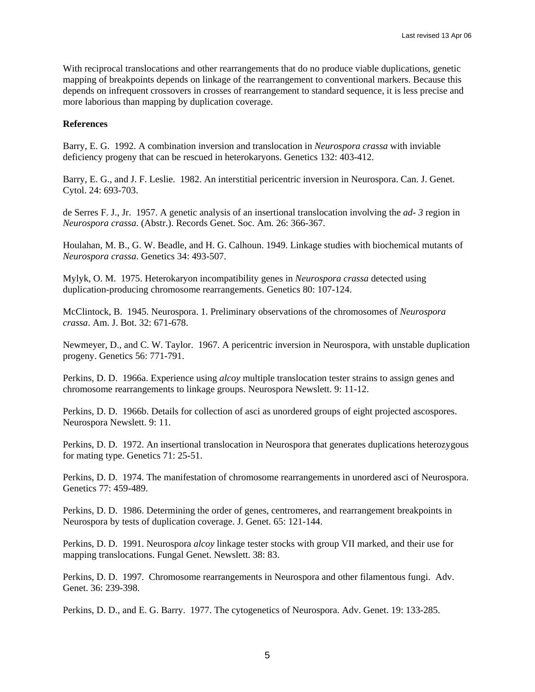With reciprocal translocations and other rearrangements that do no produce viable duplications, genetic mapping of breakpoints depends on linkage of the rearrangement to conventional markers. Because this depends on infrequent crossovers in crosses of rearrangement to standard sequence, it is less precise and more laborious than mapping by duplication coverage.

#### **References**

Barry, E. G. 1992. A combination inversion and translocation in *Neurospora crassa* with inviable deficiency progeny that can be rescued in heterokaryons. Genetics 132: 403-412.

Barry, E. G., and J. F. Leslie. 1982. An interstitial pericentric inversion in Neurospora. Can. J. Genet. Cytol. 24: 693-703.

de Serres F. J., Jr. 1957. A genetic analysis of an insertional translocation involving the *ad- 3* region in *Neurospora crassa*. (Abstr.). Records Genet. Soc. Am. 26: 366-367.

Houlahan, M. B., G. W. Beadle, and H. G. Calhoun. 1949. Linkage studies with biochemical mutants of *Neurospora crassa*. Genetics 34: 493-507.

Mylyk, O. M. 1975. Heterokaryon incompatibility genes in *Neurospora crassa* detected using duplication-producing chromosome rearrangements. Genetics 80: 107-124.

McClintock, B. 1945. Neurospora. 1. Preliminary observations of the chromosomes of *Neurospora crassa*. Am. J. Bot. 32: 671-678.

Newmeyer, D., and C. W. Taylor. 1967. A pericentric inversion in Neurospora, with unstable duplication progeny. Genetics 56: 771-791.

Perkins, D. D. 1966a. Experience using *alcoy* multiple translocation tester strains to assign genes and chromosome rearrangements to linkage groups. Neurospora Newslett. 9: 11-12.

Perkins, D. D. 1966b. Details for collection of asci as unordered groups of eight projected ascospores. Neurospora Newslett. 9: 11.

Perkins, D. D. 1972. An insertional translocation in Neurospora that generates duplications heterozygous for mating type. Genetics 71: 25-51.

Perkins, D. D. 1974. The manifestation of chromosome rearrangements in unordered asci of Neurospora. Genetics 77: 459-489.

Perkins, D. D. 1986. Determining the order of genes, centromeres, and rearrangement breakpoints in Neurospora by tests of duplication coverage. J. Genet. 65: 121-144.

Perkins, D. D. 1991. Neurospora *alcoy* linkage tester stocks with group VII marked, and their use for mapping translocations. Fungal Genet. Newslett. 38: 83.

Perkins, D. D. 1997. Chromosome rearrangements in Neurospora and other filamentous fungi. Adv. Genet. 36: 239-398.

Perkins, D. D., and E. G. Barry. 1977. The cytogenetics of Neurospora. Adv. Genet. 19: 133-285.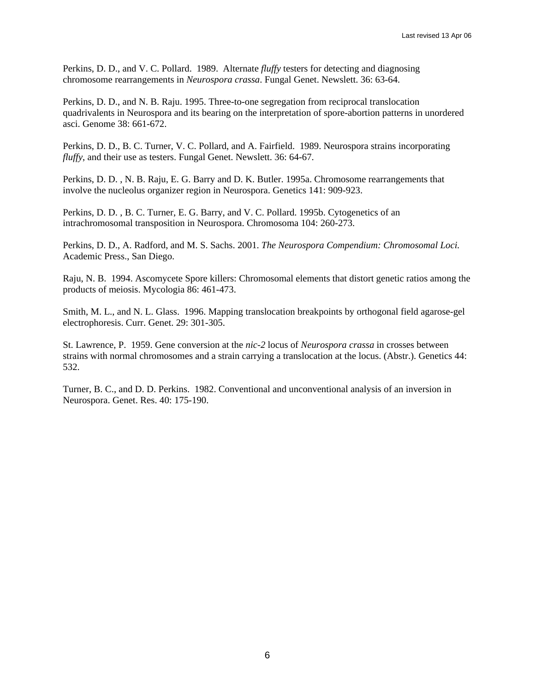Perkins, D. D., and V. C. Pollard. 1989. Alternate *fluffy* testers for detecting and diagnosing chromosome rearrangements in *Neurospora crassa*. Fungal Genet. Newslett. 36: 63-64.

Perkins, D. D., and N. B. Raju. 1995. Three-to-one segregation from reciprocal translocation quadrivalents in Neurospora and its bearing on the interpretation of spore-abortion patterns in unordered asci. Genome 38: 661-672.

Perkins, D. D., B. C. Turner, V. C. Pollard, and A. Fairfield. 1989. Neurospora strains incorporating *fluffy*, and their use as testers. Fungal Genet. Newslett. 36: 64-67.

Perkins, D. D. , N. B. Raju, E. G. Barry and D. K. Butler. 1995a. Chromosome rearrangements that involve the nucleolus organizer region in Neurospora. Genetics 141: 909-923.

Perkins, D. D. , B. C. Turner, E. G. Barry, and V. C. Pollard. 1995b. Cytogenetics of an intrachromosomal transposition in Neurospora. Chromosoma 104: 260-273.

Perkins, D. D., A. Radford, and M. S. Sachs. 2001. *The Neurospora Compendium: Chromosomal Loci.* Academic Press., San Diego.

Raju, N. B. 1994. Ascomycete Spore killers: Chromosomal elements that distort genetic ratios among the products of meiosis. Mycologia 86: 461-473.

Smith, M. L., and N. L. Glass. 1996. Mapping translocation breakpoints by orthogonal field agarose-gel electrophoresis. Curr. Genet. 29: 301-305.

St. Lawrence, P. 1959. Gene conversion at the *nic-2* locus of *Neurospora crassa* in crosses between strains with normal chromosomes and a strain carrying a translocation at the locus. (Abstr.). Genetics 44: 532.

Turner, B. C., and D. D. Perkins. 1982. Conventional and unconventional analysis of an inversion in Neurospora. Genet. Res. 40: 175-190.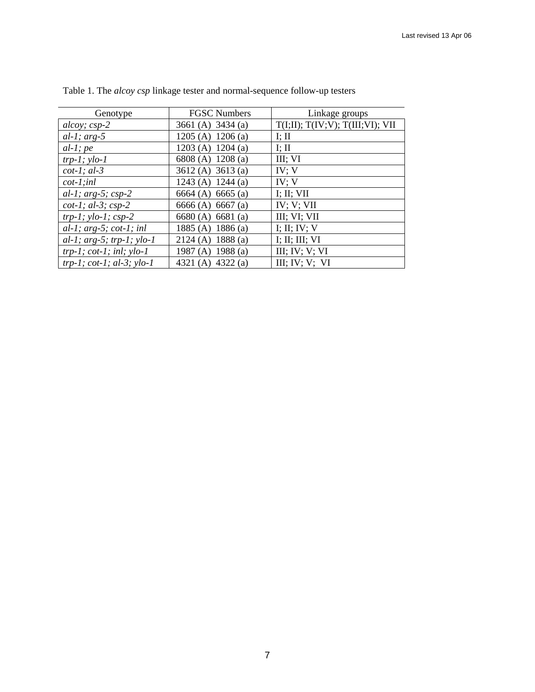| Genotype                              | <b>FGSC Numbers</b> | Linkage groups                   |
|---------------------------------------|---------------------|----------------------------------|
| $\frac{alcoy}{s}$ ; $\frac{csp-2}{s}$ | 3661 (A) 3434 (a)   | T(I;II); T(IV;V); T(III;VI); VII |
| $al-1$ ; arg-5                        | 1205 (A) $1206$ (a) | I; II                            |
| $al-1$ ; pe                           | 1203 (A) $1204$ (a) | I; II                            |
| $trp-1$ ; $ylo-1$                     | 6808 (A) 1208 (a)   | III; VI                          |
| $cot-1$ ; al-3                        | 3612 (A) 3613 (a)   | IV; V                            |
| $cot-1$ ; inl                         | 1243 (A) 1244 (a)   | IV; V                            |
| al-1; $arg-5$ ; $csp-2$               | 6664 (A) 6665 (a)   | I; II; VII                       |
| $cot-1$ ; al-3; $csp-2$               | 6666 (A) 6667 (a)   | IV; V; VII                       |
| $trp-1$ ; $ylo-1$ ; $csp-2$           | 6680(A) 6681(a)     | III; VI; VII                     |
| $al-1$ ; arg-5; cot-1; inl            | 1885 (A) 1886 (a)   | I; II; IV; V                     |
| al-1; $arg-5$ ; $trp-1$ ; $ylo-1$     | 2124 (A) 1888 (a)   | I; II; III; VI                   |
| $trp-1$ ; $cot-1$ ; $inl$ ; $ylo-1$   | 1987 (A) 1988 (a)   | III; IV; V; VI                   |
| $trp-1$ ; $cot-1$ ; $al-3$ ; $ylo-1$  | 4321 (A) 4322 (a)   | III; IV; V; VI                   |

Table 1. The *alcoy csp* linkage tester and normal-sequence follow-up testers